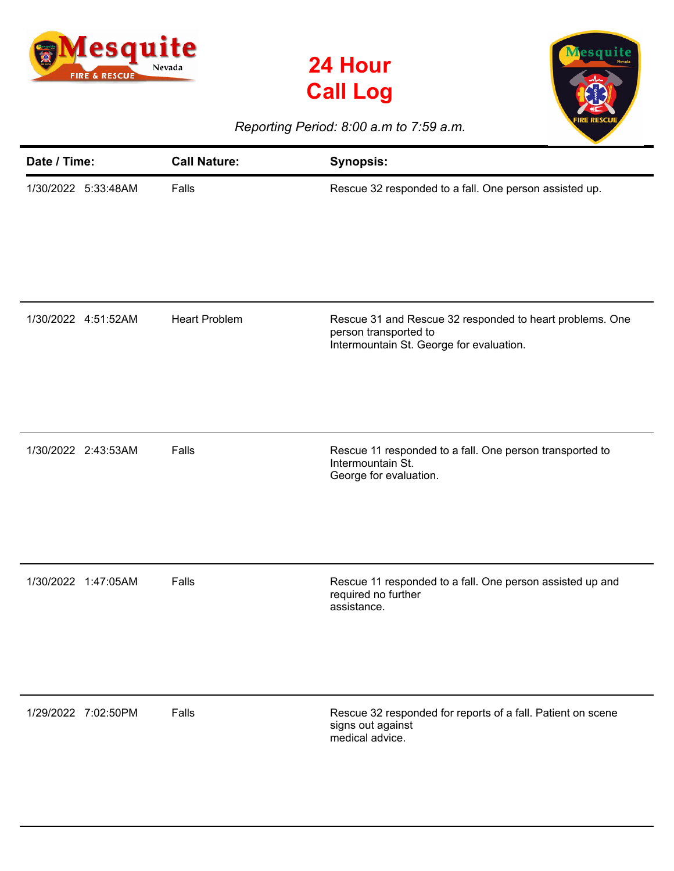

**24 Hour Call Log**



*Reporting Period: 8:00 a.m to 7:59 a.m.*

| Date / Time:        | <b>Call Nature:</b>  | <b>Synopsis:</b>                                                                                                              |
|---------------------|----------------------|-------------------------------------------------------------------------------------------------------------------------------|
| 1/30/2022 5:33:48AM | Falls                | Rescue 32 responded to a fall. One person assisted up.                                                                        |
| 1/30/2022 4:51:52AM | <b>Heart Problem</b> | Rescue 31 and Rescue 32 responded to heart problems. One<br>person transported to<br>Intermountain St. George for evaluation. |
| 1/30/2022 2:43:53AM | Falls                | Rescue 11 responded to a fall. One person transported to<br>Intermountain St.<br>George for evaluation.                       |
| 1/30/2022 1:47:05AM | Falls                | Rescue 11 responded to a fall. One person assisted up and<br>required no further<br>assistance.                               |
| 1/29/2022 7:02:50PM | Falls                | Rescue 32 responded for reports of a fall. Patient on scene<br>signs out against<br>medical advice.                           |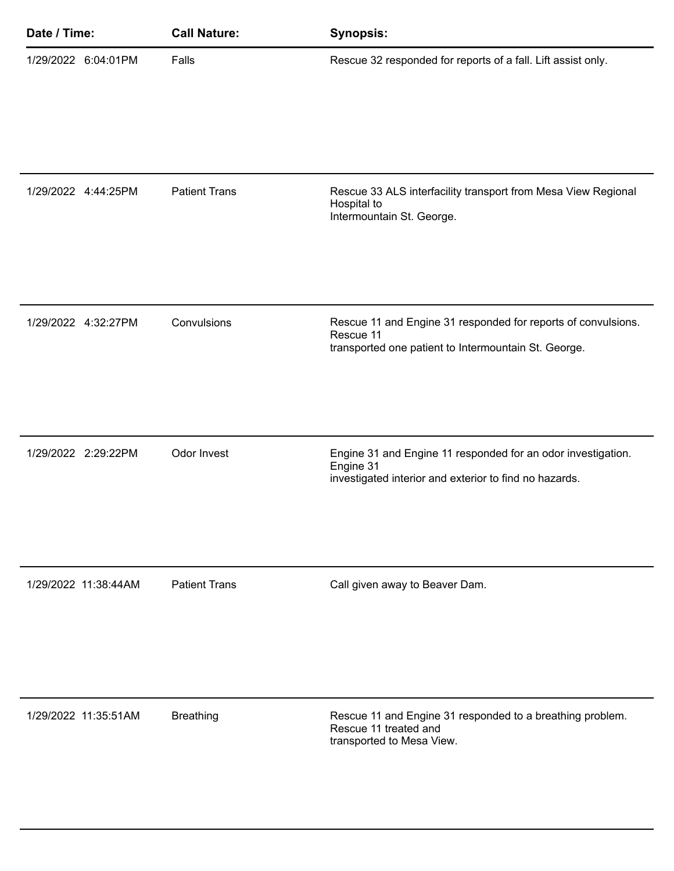| Date / Time:         | <b>Call Nature:</b>  | <b>Synopsis:</b>                                                                                                                    |
|----------------------|----------------------|-------------------------------------------------------------------------------------------------------------------------------------|
| 1/29/2022 6:04:01PM  | Falls                | Rescue 32 responded for reports of a fall. Lift assist only.                                                                        |
| 1/29/2022 4:44:25PM  | <b>Patient Trans</b> | Rescue 33 ALS interfacility transport from Mesa View Regional<br>Hospital to<br>Intermountain St. George.                           |
| 1/29/2022 4:32:27PM  | Convulsions          | Rescue 11 and Engine 31 responded for reports of convulsions.<br>Rescue 11<br>transported one patient to Intermountain St. George.  |
| 1/29/2022 2:29:22PM  | Odor Invest          | Engine 31 and Engine 11 responded for an odor investigation.<br>Engine 31<br>investigated interior and exterior to find no hazards. |
| 1/29/2022 11:38:44AM | <b>Patient Trans</b> | Call given away to Beaver Dam.                                                                                                      |
| 1/29/2022 11:35:51AM | <b>Breathing</b>     | Rescue 11 and Engine 31 responded to a breathing problem.<br>Rescue 11 treated and<br>transported to Mesa View.                     |